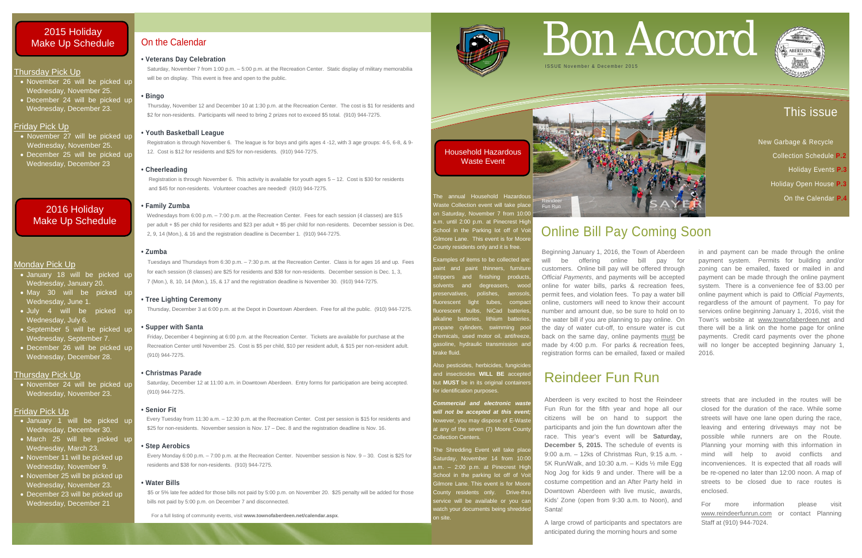# This issue

New Garbage & Recycle Collection Schedule **P.2**  Holiday Events **P.3**  Holiday Open House **P.3** On the Calendar **P.4**

# Thursday Pick Up

- November 27 will be picked up Wednesday, November 25.
- December 25 will be picked up Wednesday, December 23
- November 26 will be picked up Wednesday, November 25.
- December 24 will be picked up Wednesday, December 23.

# Friday Pick Up

# Monday Pick Up

- January 18 will be picked up Wednesday, January 20.
- May 30 will be picked up Wednesday, June 1.
- July 4 will be picked up Wednesday, July 6.
- September 5 will be picked up Wednesday, September 7.
- December 26 will be picked up Wednesday, December 28.

# Thursday Pick Up

• November 24 will be picked up Wednesday, November 23.

# Friday Pick Up

- January 1 will be picked up Wednesday, December 30.
- March 25 will be picked up Wednesday, March 23.
- November 11 will be picked up Wednesday, November 9.
- November 25 will be picked up Wednesday, November 23.
- December 23 will be picked up Wednesday, December 21

*Commercial and electronic waste*  will not be accepted at this even owever, you may dispose of E-Waste at any of the seven (7) Moore Count

The Shredding Event will take place Saturday, November 14 from 10:00 a.m. – 2:00 p.m. at Pinecrest High School in the parking lot off of Vo Gilmore Lane. This event is for Moore County residents only. Drive-thr service will be available or you car vatch your documents being shredde

 Saturday, November 7 from 1:00 p.m. – 5:00 p.m. at the Recreation Center. Static display of military memorabilia will be on display. This event is free and open to the public.

brake fluid.

polishes, aerosol

for identification purposes.

Collection Centers.

# On the Calendar

# **• Veterans Day Celebration**

# **• Bingo**

Thursday, November 12 and December 10 at 1:30 p.m. at the Recreation Center. The cost is \$1 for residents and \$2 for non-residents. Participants will need to bring 2 prizes not to exceed \$5 total. (910) 944-7275.

# **• Youth Basketball League**

 Registration is through November 6. The league is for boys and girls ages 4 -12, with 3 age groups: 4-5, 6-8, & 9- 12. Cost is \$12 for residents and \$25 for non-residents. (910) 944-7275.

# **• Cheerleading**

 Registration is through November 6. This activity is available for youth ages 5 – 12. Cost is \$30 for residents and \$45 for non-residents. Volunteer coaches are needed! (910) 944-7275.

# **• Family Zumba**

Wednesdays from 6:00 p.m. – 7:00 p.m. at the Recreation Center. Fees for each session (4 classes) are \$15 per adult + \$5 per child for residents and \$23 per adult + \$5 per child for non-residents. December session is Dec. 2, 9, 14 (Mon.), & 16 and the registration deadline is December 1. (910) 944-7275.

# **• Zumba**



Tuesdays and Thursdays from 6:30 p.m. – 7:30 p.m. at the Recreation Center. Class is for ages 16 and up. Fees for each session (8 classes) are \$25 for residents and \$38 for non-residents. December session is Dec. 1, 3, 7 (Mon.), 8, 10, 14 (Mon.), 15, & 17 and the registration deadline is November 30. (910) 944-7275.

# **• Tree Lighting Ceremony**

Thursday, December 3 at 6:00 p.m. at the Depot in Downtown Aberdeen. Free for all the public. (910) 944-7275.

# **• Supper with Santa**

Friday, December 4 beginning at 6:00 p.m. at the Recreation Center. Tickets are available for purchase at the Recreation Center until November 25. Cost is \$5 per child, \$10 per resident adult, & \$15 per non-resident adult. (910) 944-7275.

# **• Christmas Parade**

Saturday, December 12 at 11:00 a.m. in Downtown Aberdeen. Entry forms for participation are being accepted. (910) 944-7275.

# **• Senior Fit**

Every Tuesday from 11:30 a.m. – 12:30 p.m. at the Recreation Center. Cost per session is \$15 for residents and \$25 for non-residents. November session is Nov. 17 – Dec. 8 and the registration deadline is Nov. 16.

# **• Step Aerobics**

 Every Monday 6:00 p.m. – 7:00 p.m. at the Recreation Center. November session is Nov. 9 – 30. Cost is \$25 for residents and \$38 for non-residents. (910) 944-7275.

# **• Water Bills**

\$5 or 5% late fee added for those bills not paid by 5:00 p.m. on November 20. \$25 penalty will be added for those bills not paid by 5:00 p.m. on December 7 and disconnected.

For a full listing of community events, visit www.townofaberdeen.net/calendar.aspx.



# Bon Accord



# Online Bill Pay Coming Soon

Beginning January 1, 2016, the Town of Aberdeen will be offering online bill pay for customers. Online bill pay will be offered through *Official Payments*, and payments will be accepted online for water bills, parks & recreation fees, permit fees, and violation fees. To pay a water bill online, customers will need to know their account number and amount due, so be sure to hold on to the water bill if you are planning to pay online. On the day of water cut-off, to ensure water is cut back on the same day, online payments must be made by 4:00 p.m. For parks & recreation fees, registration forms can be emailed, faxed or mailed in and payment can be made through the online payment system. Permits for building and/or zoning can be emailed, faxed or mailed in and payment can be made through the online payment system. There is a convenience fee of \$3.00 per online payment which is paid to *Official Payments*, regardless of the amount of payment. To pay for services online beginning January 1, 2016, visit the Town's website at [www.townofaberdeen.net](http://www.townofaberdeen.net/) and there will be a link on the home page for online payments. Credit card payments over the phone will no longer be accepted beginning January 1, 2016.



Household Hazardous Waste Event

School in the Parking lot off of Voit Gilmore Lane. This event is for Moore County residents only and it is free. Examples of items to be collected are aint and paint thinners, furniture trippers and finishing products olvents and degreasers, wood

uorescent light tubes, compad luorescent bulbs, NiCad batteries alkaline batteries, lithium batteries, ropane cylinders, swimming poo hemicals, used motor oil, antifreeze asoline, hydraulic transmission and

Also pesticides, herbicides, fungicide and insecticides **WILL BE** accepted but **MUST** be in its original container

# 2016 Holiday Make Up Schedule

# Reindeer Fun Run

Aberdeen is very excited to host the Reindeer Fun Run for the fifth year and hope all our citizens will be on hand to support the participants and join the fun downtown after the race. This year's event will be **Saturday, December 5, 2015.** The schedule of events is 9:00 a.m. – 12ks of Christmas Run, 9:15 a.m. - 5K Run/Walk, and 10:30 a.m. – Kids ½ mile Egg Nog Jog for kids 9 and under. There will be a costume competition and an After Party held in Downtown Aberdeen with live music, awards, Kids' Zone (open from 9:30 a.m. to Noon), and Santa!

A large crowd of participants and spectators are anticipated during the morning hours and some

streets that are included in the routes will be closed for the duration of the race. While some streets will have one lane open during the race, leaving and entering driveways may not be possible while runners are on the Route. Planning your morning with this information in mind will help to avoid conflicts and inconveniences. It is expected that all roads will be re-opened no later than 12:00 noon. A map of streets to be closed due to race routes is enclosed.

For more information please visit [www.reindeerfunrun.com](http://www.reindeerfunrun.com/) or contact Planning Staff at (910) 944-7024.